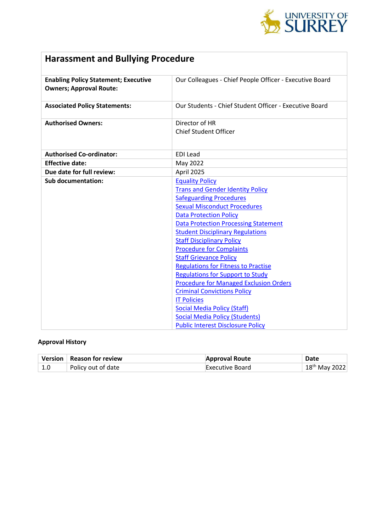

# **Harassment and Bullying Procedure**

| <b>Enabling Policy Statement; Executive</b> | Our Colleagues - Chief People Officer - Executive Board |  |
|---------------------------------------------|---------------------------------------------------------|--|
| <b>Owners; Approval Route:</b>              |                                                         |  |
|                                             |                                                         |  |
| <b>Associated Policy Statements:</b>        | Our Students - Chief Student Officer - Executive Board  |  |
|                                             |                                                         |  |
| <b>Authorised Owners:</b>                   | Director of HR                                          |  |
|                                             | <b>Chief Student Officer</b>                            |  |
|                                             |                                                         |  |
|                                             |                                                         |  |
| <b>Authorised Co-ordinator:</b>             | <b>EDI</b> Lead                                         |  |
| <b>Effective date:</b>                      | May 2022                                                |  |
| Due date for full review:                   | April 2025                                              |  |
| <b>Sub documentation:</b>                   | <b>Equality Policy</b>                                  |  |
|                                             | <b>Trans and Gender Identity Policy</b>                 |  |
|                                             | <b>Safeguarding Procedures</b>                          |  |
|                                             | <b>Sexual Misconduct Procedures</b>                     |  |
|                                             | <b>Data Protection Policy</b>                           |  |
|                                             | <b>Data Protection Processing Statement</b>             |  |
|                                             | <b>Student Disciplinary Regulations</b>                 |  |
|                                             | <b>Staff Disciplinary Policy</b>                        |  |
|                                             | <b>Procedure for Complaints</b>                         |  |
|                                             | <b>Staff Grievance Policy</b>                           |  |
|                                             | <b>Regulations for Fitness to Practise</b>              |  |
|                                             | <b>Regulations for Support to Study</b>                 |  |
|                                             | <b>Procedure for Managed Exclusion Orders</b>           |  |
|                                             | <b>Criminal Convictions Policy</b>                      |  |
|                                             | <b>IT Policies</b>                                      |  |
|                                             | <b>Social Media Policy (Staff)</b>                      |  |
|                                             | <b>Social Media Policy (Students)</b>                   |  |
|                                             | <b>Public Interest Disclosure Policy</b>                |  |

# **Approval History**

|     | Version   Reason for review | <b>Approval Route</b> | Date               |
|-----|-----------------------------|-----------------------|--------------------|
| 1.0 | Policy out of date          | Executive Board       | $18^{th}$ May 2022 |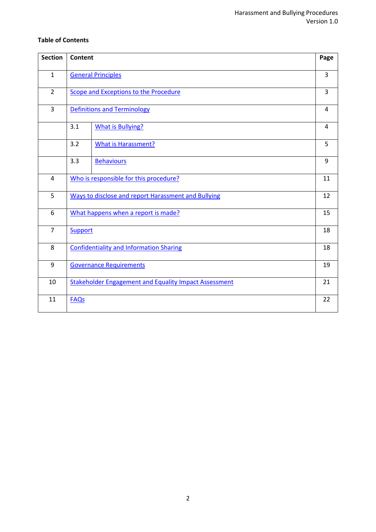# **Table of Contents**

| <b>Section</b> | <b>Content</b>                                               |                            | Page |
|----------------|--------------------------------------------------------------|----------------------------|------|
|                |                                                              |                            |      |
| $\mathbf{1}$   |                                                              | <b>General Principles</b>  | 3    |
| $\overline{2}$ | Scope and Exceptions to the Procedure                        |                            | 3    |
| $\overline{3}$ | <b>Definitions and Terminology</b>                           |                            | 4    |
|                | 3.1                                                          | <b>What is Bullying?</b>   | 4    |
|                | 3.2                                                          | <b>What is Harassment?</b> | 5    |
|                | 3.3                                                          | <b>Behaviours</b>          | 9    |
| 4              | Who is responsible for this procedure?                       |                            | 11   |
| 5              | Ways to disclose and report Harassment and Bullying          |                            | 12   |
| 6              | What happens when a report is made?                          |                            | 15   |
| $\overline{7}$ | Support                                                      |                            | 18   |
| 8              | <b>Confidentiality and Information Sharing</b>               |                            | 18   |
| 9              | <b>Governance Requirements</b>                               |                            | 19   |
| 10             | <b>Stakeholder Engagement and Equality Impact Assessment</b> |                            | 21   |
| 11             | <b>FAQs</b>                                                  |                            | 22   |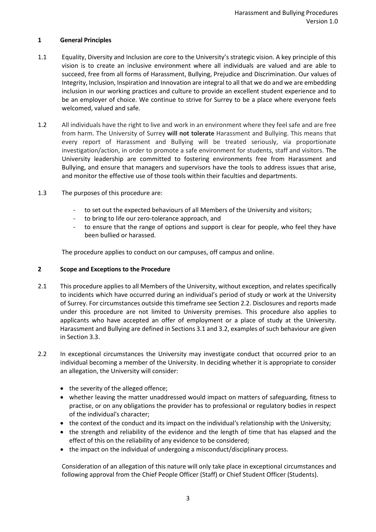# <span id="page-2-0"></span>**1 General Principles**

- 1.1 Equality, Diversity and Inclusion are core to the University's strategic vision. A key principle of this vision is to create an inclusive environment where all individuals are valued and are able to succeed, free from all forms of Harassment, Bullying, Prejudice and Discrimination. Our values of Integrity, Inclusion, Inspiration and Innovation are integral to all that we do and we are embedding inclusion in our working practices and culture to provide an excellent student experience and to be an employer of choice. We continue to strive for Surrey to be a place where everyone feels welcomed, valued and safe.
- 1.2 All individuals have the right to live and work in an environment where they feel safe and are free from harm. The University of Surrey **will not tolerate** Harassment and Bullying. This means that every report of Harassment and Bullying will be treated seriously, via proportionate investigation/action, in order to promote a safe environment for students, staff and visitors. The University leadership are committed to fostering environments free from Harassment and Bullying, and ensure that managers and supervisors have the tools to address issues that arise, and monitor the effective use of those tools within their faculties and departments.
- 1.3 The purposes of this procedure are:
	- to set out the expected behaviours of all Members of the University and visitors;
	- to bring to life our zero-tolerance approach, and
	- to ensure that the range of options and support is clear for people, who feel they have been bullied or harassed.

The procedure applies to conduct on our campuses, off campus and online.

#### <span id="page-2-1"></span>**2 Scope and Exceptions to the Procedure**

- 2.1 This procedure applies to all Members of the University, without exception, and relates specifically to incidents which have occurred during an individual's period of study or work at the University of Surrey. For circumstances outside this timeframe see Section 2.2. Disclosures and reports made under this procedure are not limited to University premises. This procedure also applies to applicants who have accepted an offer of employment or a place of study at the University. Harassment and Bullying are defined in Sections 3.1 and 3.2, examples of such behaviour are given in Section 3.3.
- 2.2 In exceptional circumstances the University may investigate conduct that occurred prior to an individual becoming a member of the University. In deciding whether it is appropriate to consider an allegation, the University will consider:
	- the severity of the alleged offence;
	- whether leaving the matter unaddressed would impact on matters of safeguarding, fitness to practise, or on any obligations the provider has to professional or regulatory bodies in respect of the individual's character;
	- the context of the conduct and its impact on the individual's relationship with the University;
	- the strength and reliability of the evidence and the length of time that has elapsed and the effect of this on the reliability of any evidence to be considered;
	- the impact on the individual of undergoing a misconduct/disciplinary process.

Consideration of an allegation of this nature will only take place in exceptional circumstances and following approval from the Chief People Officer (Staff) or Chief Student Officer (Students).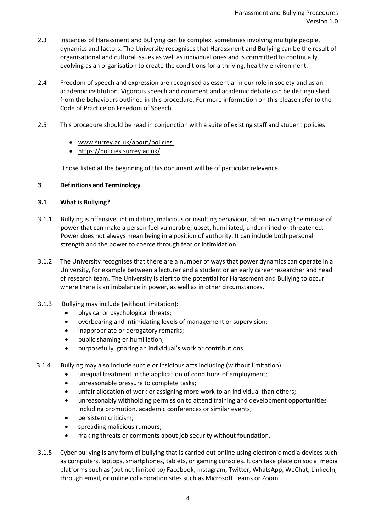- 2.3 Instances of Harassment and Bullying can be complex, sometimes involving multiple people, dynamics and factors. The University recognises that Harassment and Bullying can be the result of organisational and cultural issues as well as individual ones and is committed to continually evolving as an organisation to create the conditions for a thriving, healthy environment.
- 2.4 Freedom of speech and expression are recognised as essential in our role in society and as an academic institution. Vigorous speech and comment and academic debate can be distinguished from the behaviours outlined in this procedure. For more information on this please refer to the [Code of Practice on Freedom of Speech.](https://www.surrey.ac.uk/sites/default/files/code-of-practice-on-freedom-of-speech.pdf)
- 2.5 This procedure should be read in conjunction with a suite of existing staff and student policies:
	- [www.surrey.ac.uk/about/policies](http://www.surrey.ac.uk/about/policies)
	- <https://policies.surrey.ac.uk/>

Those listed at the beginning of this document will be of particular relevance.

# <span id="page-3-0"></span>**3 Definitions and Terminology**

#### <span id="page-3-1"></span>**3.1 What is Bullying?**

- 3.1.1 Bullying is offensive, intimidating, malicious or insulting behaviour, often involving the misuse of power that can make a person feel vulnerable, upset, humiliated, undermined or threatened. Power does not always mean being in a position of authority. It can include both personal strength and the power to coerce through fear or intimidation.
- 3.1.2 The University recognises that there are a number of ways that power dynamics can operate in a University, for example between a lecturer and a student or an early career researcher and head of research team. The University is alert to the potential for Harassment and Bullying to occur where there is an imbalance in power, as well as in other circumstances.
- 3.1.3 Bullying may include (without limitation):
	- physical or psychological threats;
	- overbearing and intimidating levels of management or supervision;
	- inappropriate or derogatory remarks;
	- public shaming or humiliation;
	- purposefully ignoring an individual's work or contributions.
- 3.1.4 Bullying may also include subtle or insidious acts including (without limitation):
	- unequal treatment in the application of conditions of employment;
		- unreasonable pressure to complete tasks;
		- unfair allocation of work or assigning more work to an individual than others;
		- unreasonably withholding permission to attend training and development opportunities including promotion, academic conferences or similar events;
		- persistent criticism;
		- spreading malicious rumours;
		- making threats or comments about job security without foundation.
- 3.1.5 Cyber bullying is any form of bullying that is carried out online using electronic media devices such as computers, laptops, smartphones, tablets, or gaming consoles. It can take place on social media platforms such as (but not limited to) Facebook, Instagram, Twitter, WhatsApp, WeChat, LinkedIn, through email, or online collaboration sites such as Microsoft Teams or Zoom.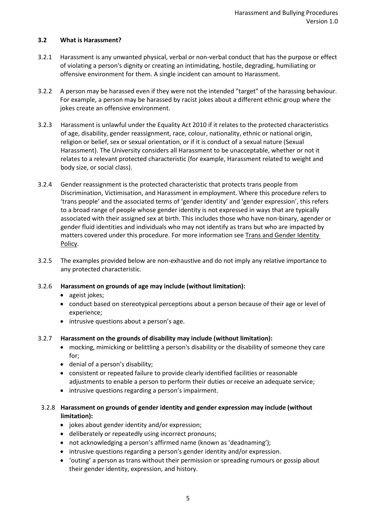# <span id="page-4-0"></span>**3.2 What is Harassment?**

- 3.2.1 Harassment is any unwanted physical, verbal or non-verbal conduct that has the purpose or effect of violating a person's dignity or creating an intimidating, hostile, degrading, humiliating or offensive environment for them. A single incident can amount to Harassment.
- 3.2.2 A person may be harassed even if they were not the intended "target" of the harassing behaviour. For example, a person may be harassed by racist jokes about a different ethnic group where the jokes create an offensive environment.
- 3.2.3 Harassment is unlawful under the Equality Act 2010 if it relates to the protected characteristics of age, disability, gender reassignment, race, colour, nationality, ethnic or national origin, religion or belief, sex or sexual orientation, or if it is conduct of a sexual nature (Sexual Harassment). The University considers all Harassment to be unacceptable, whether or not it relates to a relevant protected characteristic (for example, Harassment related to weight and body size, or social class).
- 3.2.4 Gender reassignment is the protected characteristic that protects trans people from Discrimination, Victimisation, and Harassment in employment. Where this procedure refers to 'trans people' and the associated terms of 'gender identity' and 'gender expression', this refers to a broad range of people whose gender identity is not expressed in ways that are typically associated with their assigned sex at birth. This includes those who have non-binary, agender or gender fluid identities and individuals who may not identify as trans but who are impacted by matters covered under this procedure. For more information se[e Trans and Gender Identity](https://www.surrey.ac.uk/sites/default/files/2021-02/trans-and-gender-identity-policy.pdf)  [Policy.](https://www.surrey.ac.uk/sites/default/files/2021-02/trans-and-gender-identity-policy.pdf)
- 3.2.5 The examples provided below are non-exhaustive and do not imply any relative importance to any protected characteristic.
- 3.2.6 **Harassment on grounds of age may include (without limitation):**
	- ageist jokes;
	- conduct based on stereotypical perceptions about a person because of their age or level of experience;
	- intrusive questions about a person's age.

#### 3.2.7 **Harassment on the grounds of disability may include (without limitation):**

- mocking, mimicking or belittling a person's disability or the disability of someone they care for;
- denial of a person's disability;
- consistent or repeated failure to provide clearly identified facilities or reasonable adjustments to enable a person to perform their duties or receive an adequate service;
- intrusive questions regarding a person's impairment.

# 3.2.8 **Harassment on grounds of gender identity and gender expression may include (without limitation):**

- jokes about gender identity and/or expression;
- deliberately or repeatedly using incorrect pronouns;
- not acknowledging a person's affirmed name (known as 'deadnaming');
- intrusive questions regarding a person's gender identity and/or expression.
- 'outing' a person as trans without their permission or spreading rumours or gossip about their gender identity, expression, and history.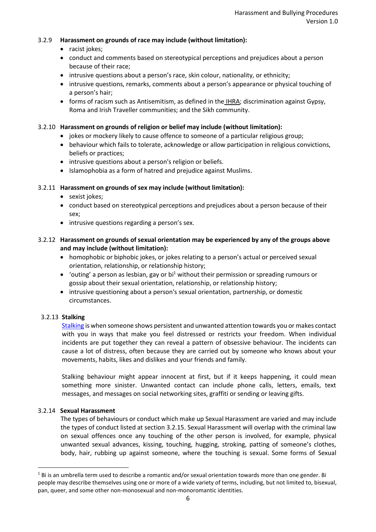# 3.2.9 **Harassment on grounds of race may include (without limitation):**

- racist jokes;
- conduct and comments based on stereotypical perceptions and prejudices about a person because of their race;
- intrusive questions about a person's race, skin colour, nationality, or ethnicity;
- intrusive questions, remarks, comments about a person's appearance or physical touching of a person's hair;
- forms of racism such as Antisemitism, as defined in the [IHRA;](https://www.surrey.ac.uk/equality-diversity-and-inclusion/strategy-policies-and-annual-reports) discrimination against Gypsy, Roma and Irish Traveller communities; and the Sikh community.

# 3.2.10 **Harassment on grounds of religion or belief may include (without limitation):**

- jokes or mockery likely to cause offence to someone of a particular religious group;
- behaviour which fails to tolerate, acknowledge or allow participation in religious convictions, beliefs or practices;
- intrusive questions about a person's religion or beliefs.
- Islamophobia as a form of hatred and prejudice against Muslims.

# 3.2.11 **Harassment on grounds of sex may include (without limitation):**

- sexist jokes;
- conduct based on stereotypical perceptions and prejudices about a person because of their sex;
- intrusive questions regarding a person's sex.

# 3.2.12 **Harassment on grounds of sexual orientation may be experienced by any of the groups above and may include (without limitation):**

- homophobic or biphobic jokes, or jokes relating to a person's actual or perceived sexual orientation, relationship, or relationship history;
- 'outing' a person as lesbian, gay or bi<sup>1</sup> without their permission or spreading rumours or gossip about their sexual orientation, relationship, or relationship history;
- intrusive questioning about a person's sexual orientation, partnership, or domestic circumstances.

#### 3.2.13 **Stalking**

[Stalking](https://reportandsupport.surrey.ac.uk/support/category/stalking) is when someone shows persistent and unwanted attention towards you or makes contact with you in ways that make you feel distressed or restricts your freedom. When individual incidents are put together they can reveal a pattern of obsessive behaviour. The incidents can cause a lot of distress, often because they are carried out by someone who knows about your movements, habits, likes and dislikes and your friends and family.

Stalking behaviour might appear innocent at first, but if it keeps happening, it could mean something more sinister. Unwanted contact can include phone calls, letters, emails, text messages, and messages on social networking sites, graffiti or sending or leaving gifts.

#### 3.2.14 **Sexual Harassment**

The types of behaviours or conduct which make up Sexual Harassment are varied and may include the types of conduct listed at section 3.2.15. Sexual Harassment will overlap with the criminal law on sexual offences once any touching of the other person is involved, for example, physical unwanted sexual advances, kissing, touching, hugging, stroking, patting of someone's clothes, body, hair, rubbing up against someone, where the touching is sexual. Some forms of Sexual

 $1$  Bi is an umbrella term used to describe a romantic and/or sexual orientation towards more than one gender. Bi people may describe themselves using one or more of a wide variety of terms, including, but not limited to, bisexual, pan, queer, and some other non-monosexual and non-monoromantic identities.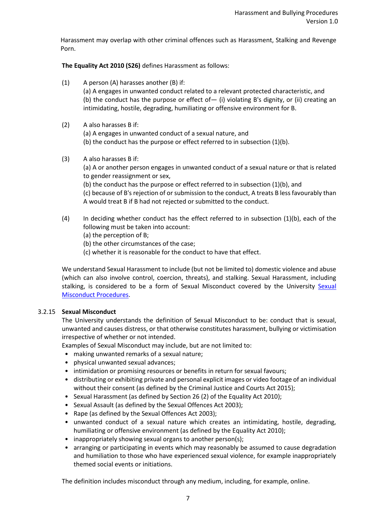Harassment may overlap with other criminal offences such as Harassment, Stalking and Revenge Porn.

**The Equality Act 2010 (S26)** defines Harassment as follows:

- (1) A person (A) harasses another (B) if: (a) A engages in unwanted conduct related to a relevant protected characteristic, and (b) the conduct has the purpose or effect of  $-$  (i) violating B's dignity, or (ii) creating an intimidating, hostile, degrading, humiliating or offensive environment for B.
- (2) A also harasses B if:

(a) A engages in unwanted conduct of a sexual nature, and

(b) the conduct has the purpose or effect referred to in subsection (1)(b).

(3) A also harasses B if:

(a) A or another person engages in unwanted conduct of a sexual nature or that is related to gender reassignment or sex,

(b) the conduct has the purpose or effect referred to in subsection (1)(b), and

(c) because of B's rejection of or submission to the conduct, A treats B less favourably than A would treat B if B had not rejected or submitted to the conduct.

- (4) In deciding whether conduct has the effect referred to in subsection (1)(b), each of the following must be taken into account:
	- (a) the perception of B;

(b) the other circumstances of the case;

(c) whether it is reasonable for the conduct to have that effect.

We understand Sexual Harassment to include (but not be limited to) domestic violence and abuse (which can also involve control, coercion, threats), and stalking. Sexual Harassment, including stalking, is considered to be a form of [Sexual](https://www.surrey.ac.uk/sites/default/files/2021-12/sexual-misconduct-policy.pdf) Misconduct covered by the University Sexual [Misconduct Procedures.](https://www.surrey.ac.uk/sites/default/files/2021-12/sexual-misconduct-policy.pdf)

#### 3.2.15 **Sexual Misconduct**

The University understands the definition of Sexual Misconduct to be: conduct that is sexual, unwanted and causes distress, or that otherwise constitutes harassment, bullying or victimisation irrespective of whether or not intended.

Examples of Sexual Misconduct may include, but are not limited to:

- making unwanted remarks of a sexual nature;
- physical unwanted sexual advances;
- intimidation or promising resources or benefits in return for sexual favours;
- distributing or exhibiting private and personal explicit images or video footage of an individual without their consent (as defined by the Criminal Justice and Courts Act 2015);
- Sexual Harassment (as defined by Section 26 (2) of the Equality Act 2010);
- Sexual Assault (as defined by the Sexual Offences Act 2003);
- Rape (as defined by the Sexual Offences Act 2003);
- unwanted conduct of a sexual nature which creates an intimidating, hostile, degrading, humiliating or offensive environment (as defined by the Equality Act 2010);
- inappropriately showing sexual organs to another person(s);
- arranging or participating in events which may reasonably be assumed to cause degradation and humiliation to those who have experienced sexual violence, for example inappropriately themed social events or initiations.

The definition includes misconduct through any medium, including, for example, online.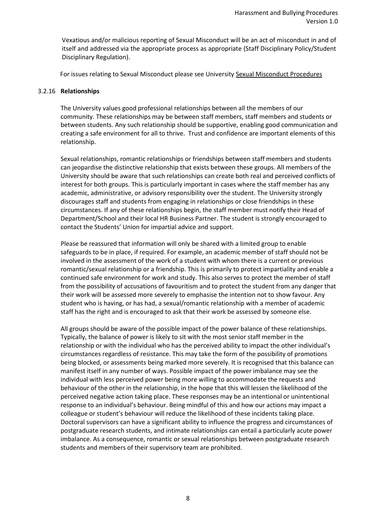Vexatious and/or malicious reporting of Sexual Misconduct will be an act of misconduct in and of itself and addressed via the appropriate process as appropriate (Staff Disciplinary Policy/Student Disciplinary Regulation).

For issues relating to Sexual Misconduct please see University [Sexual Misconduct Procedures](https://www.surrey.ac.uk/sites/default/files/2021-12/sexual-misconduct-policy.pdf)

#### 3.2.16 **Relationships**

The University values good professional relationships between all the members of our community. These relationships may be between staff members, staff members and students or between students. Any such relationship should be supportive, enabling good communication and creating a safe environment for all to thrive. Trust and confidence are important elements of this relationship.

Sexual relationships, romantic relationships or friendships between staff members and students can jeopardise the distinctive relationship that exists between these groups. All members of the University should be aware that such relationships can create both real and perceived conflicts of interest for both groups. This is particularly important in cases where the staff member has any academic, administrative, or advisory responsibility over the student. The University strongly discourages staff and students from engaging in relationships or close friendships in these circumstances. If any of these relationships begin, the staff member must notify their Head of Department/School and their local HR Business Partner. The student is strongly encouraged to contact the Students' Union for impartial advice and support.

Please be reassured that information will only be shared with a limited group to enable safeguards to be in place, if required. For example, an academic member of staff should not be involved in the assessment of the work of a student with whom there is a current or previous romantic/sexual relationship or a friendship. This is primarily to protect impartiality and enable a continued safe environment for work and study. This also serves to protect the member of staff from the possibility of accusations of favouritism and to protect the student from any danger that their work will be assessed more severely to emphasise the intention not to show favour. Any student who is having, or has had, a sexual/romantic relationship with a member of academic staff has the right and is encouraged to ask that their work be assessed by someone else.

All groups should be aware of the possible impact of the power balance of these relationships. Typically, the balance of power is likely to sit with the most senior staff member in the relationship or with the individual who has the perceived ability to impact the other individual's circumstances regardless of resistance. This may take the form of the possibility of promotions being blocked, or assessments being marked more severely. It is recognised that this balance can manifest itself in any number of ways. Possible impact of the power imbalance may see the individual with less perceived power being more willing to accommodate the requests and behaviour of the other in the relationship, in the hope that this will lessen the likelihood of the perceived negative action taking place. These responses may be an intentional or unintentional response to an individual's behaviour. Being mindful of this and how our actions may impact a colleague or student's behaviour will reduce the likelihood of these incidents taking place. Doctoral supervisors can have a significant ability to influence the progress and circumstances of postgraduate research students, and intimate relationships can entail a particularly acute power imbalance. As a consequence, romantic or sexual relationships between postgraduate research students and members of their supervisory team are prohibited.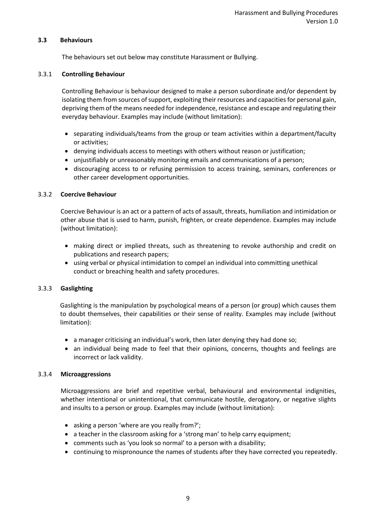# <span id="page-8-0"></span>**3.3 Behaviours**

The behaviours set out below may constitute Harassment or Bullying.

# 3.3.1 **Controlling Behaviour**

Controlling Behaviour is behaviour designed to make a person subordinate and/or dependent by isolating them from sources of support, exploiting their resources and capacities for personal gain, depriving them of the means needed for independence, resistance and escape and regulating their everyday behaviour. Examples may include (without limitation):

- separating individuals/teams from the group or team activities within a department/faculty or activities;
- denying individuals access to meetings with others without reason or justification;
- unjustifiably or unreasonably monitoring emails and communications of a person;
- discouraging access to or refusing permission to access training, seminars, conferences or other career development opportunities.

# 3.3.2 **Coercive Behaviour**

Coercive Behaviour is an act or a pattern of acts of assault, threats, humiliation and intimidation or other abuse that is used to harm, punish, frighten, or create dependence. Examples may include (without limitation):

- making direct or implied threats, such as threatening to revoke authorship and credit on publications and research papers;
- using verbal or physical intimidation to compel an individual into committing unethical conduct or breaching health and safety procedures.

#### 3.3.3 **Gaslighting**

Gaslighting is the manipulation by psychological means of a person (or group) which causes them to doubt themselves, their capabilities or their sense of reality. Examples may include (without limitation):

- a manager criticising an individual's work, then later denying they had done so;
- an individual being made to feel that their opinions, concerns, thoughts and feelings are incorrect or lack validity.

#### 3.3.4 **Microaggressions**

Microaggressions are brief and repetitive verbal, behavioural and environmental indignities, whether intentional or unintentional, that communicate hostile, derogatory, or negative slights and insults to a person or group. Examples may include (without limitation):

- asking a person 'where are you really from?';
- a teacher in the classroom asking for a 'strong man' to help carry equipment;
- comments such as 'you look so normal' to a person with a disability;
- continuing to mispronounce the names of students after they have corrected you repeatedly.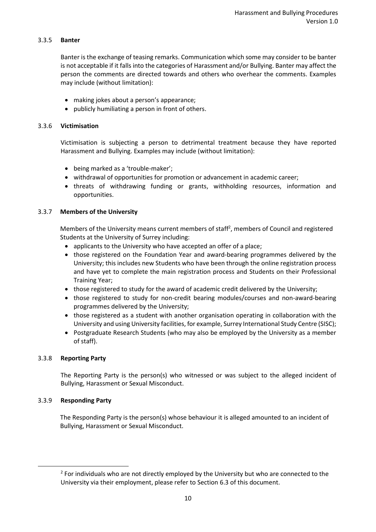# 3.3.5 **Banter**

Banter is the exchange of teasing remarks. Communication which some may consider to be banter is not acceptable if it falls into the categories of Harassment and/or Bullying. Banter may affect the person the comments are directed towards and others who overhear the comments. Examples may include (without limitation):

- making jokes about a person's appearance;
- publicly humiliating a person in front of others.

# 3.3.6 **Victimisation**

Victimisation is subjecting a person to detrimental treatment because they have reported Harassment and Bullying. Examples may include (without limitation):

- being marked as a 'trouble-maker';
- withdrawal of opportunities for promotion or advancement in academic career;
- threats of withdrawing funding or grants, withholding resources, information and opportunities.

# 3.3.7 **Members of the University**

Members of the University means current members of staff<sup>2</sup>, members of Council and registered Students at the University of Surrey including:

- applicants to the University who have accepted an offer of a place;
- those registered on the Foundation Year and award-bearing programmes delivered by the University; this includes new Students who have been through the online registration process and have yet to complete the main registration process and Students on their Professional Training Year;
- those registered to study for the award of academic credit delivered by the University;
- those registered to study for non-credit bearing modules/courses and non-award-bearing programmes delivered by the University;
- those registered as a student with another organisation operating in collaboration with the University and using University facilities, for example, Surrey International Study Centre (SISC);
- Postgraduate Research Students (who may also be employed by the University as a member of staff).

# 3.3.8 **Reporting Party**

The Reporting Party is the person(s) who witnessed or was subject to the alleged incident of Bullying, Harassment or Sexual Misconduct.

#### 3.3.9 **Responding Party**

The Responding Party is the person(s) whose behaviour it is alleged amounted to an incident of Bullying, Harassment or Sexual Misconduct.

 $2$  For individuals who are not directly employed by the University but who are connected to the University via their employment, please refer to Section 6.3 of this document.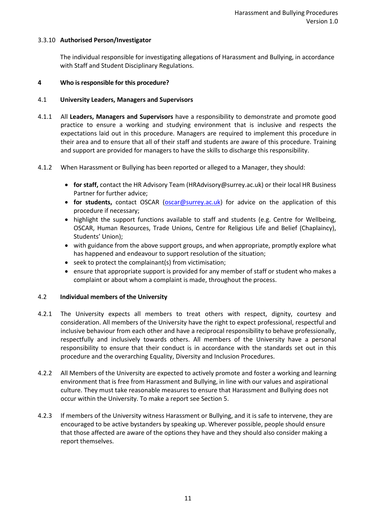# 3.3.10 **Authorised Person/Investigator**

The individual responsible for investigating allegations of Harassment and Bullying, in accordance with Staff and Student Disciplinary Regulations.

#### <span id="page-10-0"></span>**4 Who is responsible for this procedure?**

# 4.1 **University Leaders, Managers and Supervisors**

- 4.1.1 All **Leaders, Managers and Supervisors** have a responsibility to demonstrate and promote good practice to ensure a working and studying environment that is inclusive and respects the expectations laid out in this procedure. Managers are required to implement this procedure in their area and to ensure that all of their staff and students are aware of this procedure. Training and support are provided for managers to have the skills to discharge this responsibility.
- 4.1.2 When Harassment or Bullying has been reported or alleged to a Manager, they should:
	- **for staff,** contact the HR Advisory Team (HRAdvisory@surrey.ac.uk) or their local HR Business Partner for further advice;
	- **for students,** contact OSCAR (**oscar@surrey.ac.uk**) for advice on the application of this procedure if necessary;
	- highlight the support functions available to staff and students (e.g. Centre for Wellbeing, OSCAR, Human Resources, Trade Unions, Centre for Religious Life and Belief (Chaplaincy), Students' Union);
	- with guidance from the above support groups, and when appropriate, promptly explore what has happened and endeavour to support resolution of the situation;
	- seek to protect the complainant(s) from victimisation;
	- ensure that appropriate support is provided for any member of staff or student who makes a complaint or about whom a complaint is made, throughout the process.

#### 4.2 **Individual members of the University**

- 4.2.1 The University expects all members to treat others with respect, dignity, courtesy and consideration. All members of the University have the right to expect professional, respectful and inclusive behaviour from each other and have a reciprocal responsibility to behave professionally, respectfully and inclusively towards others. All members of the University have a personal responsibility to ensure that their conduct is in accordance with the standards set out in this procedure and the overarching Equality, Diversity and Inclusion Procedures.
- 4.2.2 All Members of the University are expected to actively promote and foster a working and learning environment that is free from Harassment and Bullying, in line with our values and aspirational culture. They must take reasonable measures to ensure that Harassment and Bullying does not occur within the University. To make a report see Section 5.
- 4.2.3 If members of the University witness Harassment or Bullying, and it is safe to intervene, they are encouraged to be active bystanders by speaking up. Wherever possible, people should ensure that those affected are aware of the options they have and they should also consider making a report themselves.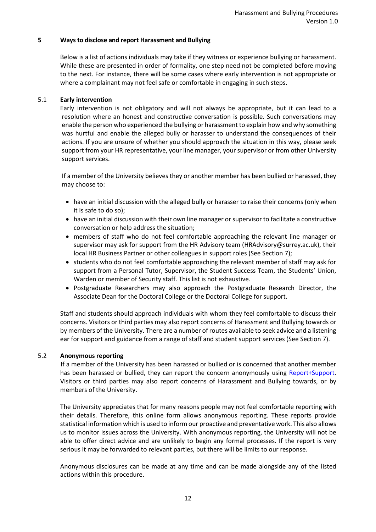#### <span id="page-11-0"></span>**5 Ways to disclose and report Harassment and Bullying**

Below is a list of actions individuals may take if they witness or experience bullying or harassment. While these are presented in order of formality, one step need not be completed before moving to the next. For instance, there will be some cases where early intervention is not appropriate or where a complainant may not feel safe or comfortable in engaging in such steps.

# 5.1 **Early intervention**

Early intervention is not obligatory and will not always be appropriate, but it can lead to a resolution where an honest and constructive conversation is possible. Such conversations may enable the person who experienced the bullying or harassment to explain how and why something was hurtful and enable the alleged bully or harasser to understand the consequences of their actions. If you are unsure of whether you should approach the situation in this way, please seek support from your HR representative, your line manager, your supervisor or from other University support services.

If a member of the University believes they or another member has been bullied or harassed, they may choose to:

- have an initial discussion with the alleged bully or harasser to raise their concerns (only when it is safe to do so);
- have an initial discussion with their own line manager or supervisor to facilitate a constructive conversation or help address the situation;
- members of staff who do not feel comfortable approaching the relevant line manager or supervisor may ask for support from the HR Advisory team [\(HRAdvisory@surrey.ac.uk\)](mailto:HRAdvisory@surrey.ac.uk), their local HR Business Partner or other colleagues in support roles (See Section 7);
- students who do not feel comfortable approaching the relevant member of staff may ask for support from a Personal Tutor, Supervisor, the Student Success Team, the Students' Union, Warden or member of Security staff. This list is not exhaustive.
- Postgraduate Researchers may also approach the Postgraduate Research Director, the Associate Dean for the Doctoral College or the Doctoral College for support.

Staff and students should approach individuals with whom they feel comfortable to discuss their concerns. Visitors or third parties may also report concerns of Harassment and Bullying towards or by members of the University. There are a number of routes available to seek advice and a listening ear for support and guidance from a range of staff and student support services (See Section 7).

#### 5.2 **Anonymous reporting**

If a member of the University has been harassed or bullied or is concerned that another member has been harassed or bullied, they can report the concern anonymously using [Report+Support.](https://reportandsupport.surrey.ac.uk/) Visitors or third parties may also report concerns of Harassment and Bullying towards, or by members of the University.

The University appreciates that for many reasons people may not feel comfortable reporting with their details. Therefore, this online form allows anonymous reporting. These reports provide statistical information which is used to inform our proactive and preventative work. This also allows us to monitor issues across the University. With anonymous reporting, the University will not be able to offer direct advice and are unlikely to begin any formal processes. If the report is very serious it may be forwarded to relevant parties, but there will be limits to our response.

Anonymous disclosures can be made at any time and can be made alongside any of the listed actions within this procedure.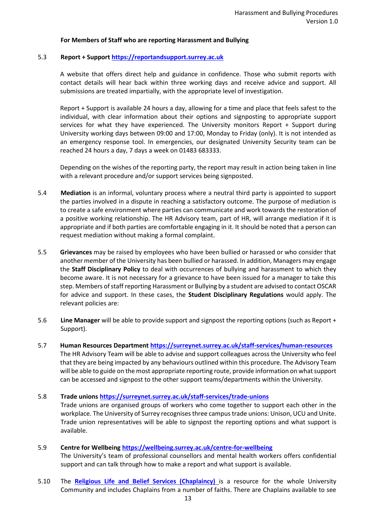#### **For Members of Staff who are reporting Harassment and Bullying**

# 5.3 **Report + Suppor[t https://reportandsupport.surrey.ac.uk](https://reportandsupport.surrey.ac.uk/)**

A website that offers direct help and guidance in confidence. Those who submit reports with contact details will hear back within three working days and receive advice and support. All submissions are treated impartially, with the appropriate level of investigation.

Report + Support is available 24 hours a day, allowing for a time and place that feels safest to the individual, with clear information about their options and signposting to appropriate support services for what they have experienced. The University monitors Report + Support during University working days between 09:00 and 17:00, Monday to Friday (only). It is not intended as an emergency response tool. In emergencies, our designated University Security team can be reached 24 hours a day, 7 days a week on 01483 683333.

Depending on the wishes of the reporting party, the report may result in action being taken in line with a relevant procedure and/or support services being signposted.

- 5.4 **Mediation** is an informal, voluntary process where a neutral third party is appointed to support the parties involved in a dispute in reaching a satisfactory outcome. The purpose of mediation is to create a safe environment where parties can communicate and work towards the restoration of a positive working relationship. The HR Advisory team, part of HR, will arrange mediation if it is appropriate and if both parties are comfortable engaging in it. It should be noted that a person can request mediation without making a formal complaint.
- 5.5 **Grievances** may be raised by employees who have been bullied or harassed or who consider that another member of the University has been bullied or harassed. In addition, Managers may engage the **Staff Disciplinary Policy** to deal with occurrences of bullying and harassment to which they become aware. It is not necessary for a grievance to have been issued for a manager to take this step. Members of staff reporting Harassment or Bullying by a student are advised to contact OSCAR for advice and support. In these cases, the **Student Disciplinary Regulations** would apply. The relevant policies are:
- 5.6 **Line Manager** will be able to provide support and signpost the reporting options (such as Report + Support).
- 5.7 **Human Resources Department <https://surreynet.surrey.ac.uk/staff-services/human-resources>** The HR Advisory Team will be able to advise and support colleagues across the University who feel that they are being impacted by any behaviours outlined within this procedure. The Advisory Team will be able to guide on the most appropriate reporting route, provide information on what support can be accessed and signpost to the other support teams/departments within the University.

#### 5.8 **Trade unions <https://surreynet.surrey.ac.uk/staff-services/trade-unions>**

Trade unions are organised groups of workers who come together to support each other in the workplace. The University of Surrey recognises three campus trade unions: Unison, UCU and Unite. Trade union representatives will be able to signpost the reporting options and what support is available.

#### 5.9 **Centre for Wellbeing<https://wellbeing.surrey.ac.uk/centre-for-wellbeing>**

The University's team of professional counsellors and mental health workers offers confidential support and can talk through how to make a report and what support is available.

5.10 The **[Religious Life and Belief Services \(Chaplaincy\)](https://campus.surrey.ac.uk/faith-and-spirituality)** is a resource for the whole University Community and includes Chaplains from a number of faiths. There are Chaplains available to see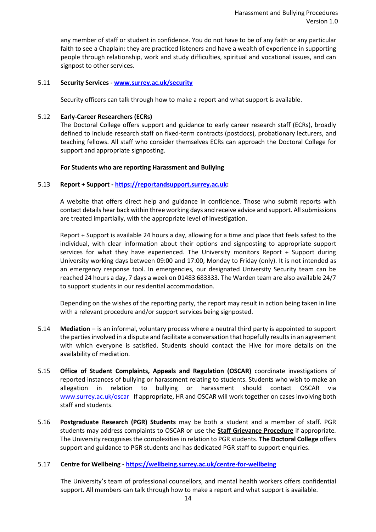any member of staff or student in confidence. You do not have to be of any faith or any particular faith to see a Chaplain: they are practiced listeners and have a wealth of experience in supporting people through relationship, work and study difficulties, spiritual and vocational issues, and can signpost to other services.

# 5.11 **Security Services - [www.surrey.ac.uk/security](http://www.surrey.ac.uk/security)**

Security officers can talk through how to make a report and what support is available.

# 5.12 **Early-Career Researchers (ECRs)**

The Doctoral College offers support and guidance to early career research staff (ECRs), broadly defined to include research staff on fixed-term contracts (postdocs), probationary lecturers, and teaching fellows. All staff who consider themselves ECRs can approach the Doctoral College for support and appropriate signposting.

# **For Students who are reporting Harassment and Bullying**

# 5.13 **Report + Support - [https://reportandsupport.surrey.ac.uk:](https://reportandsupport.surrey.ac.uk/)**

A website that offers direct help and guidance in confidence. Those who submit reports with contact details hear back within three working days and receive advice and support. All submissions are treated impartially, with the appropriate level of investigation.

Report + Support is available 24 hours a day, allowing for a time and place that feels safest to the individual, with clear information about their options and signposting to appropriate support services for what they have experienced. The University monitors Report + Support during University working days between 09:00 and 17:00, Monday to Friday (only). It is not intended as an emergency response tool. In emergencies, our designated University Security team can be reached 24 hours a day, 7 days a week on 01483 683333. The Warden team are also available 24/7 to support students in our residential accommodation.

Depending on the wishes of the reporting party, the report may result in action being taken in line with a relevant procedure and/or support services being signposted.

- 5.14 **Mediation** is an informal, voluntary process where a neutral third party is appointed to support the parties involved in a dispute and facilitate a conversation that hopefully results in an agreement with which everyone is satisfied. Students should contact the Hive for more details on the availability of mediation.
- 5.15 **Office of Student Complaints, Appeals and Regulation (OSCAR)** coordinate investigations of reported instances of bullying or harassment relating to students. Students who wish to make an allegation in relation to bullying or harassment should contact OSCAR via [www.surrey.ac.uk/oscar](http://www.surrey.ac.uk/oscar) If appropriate, HR and OSCAR will work together on cases involving both staff and students.
- 5.16 **Postgraduate Research (PGR) Students** may be both a student and a member of staff. PGR students may address complaints to OSCAR or use the **Staff Grievance Procedure** if appropriate*.*  The University recognises the complexities in relation to PGR students. **The Doctoral College** offers support and guidance to PGR students and has dedicated PGR staff to support enquiries.

#### 5.17 **Centre for Wellbeing - <https://wellbeing.surrey.ac.uk/centre-for-wellbeing>**

The University's team of professional counsellors, and mental health workers offers confidential support. All members can talk through how to make a report and what support is available.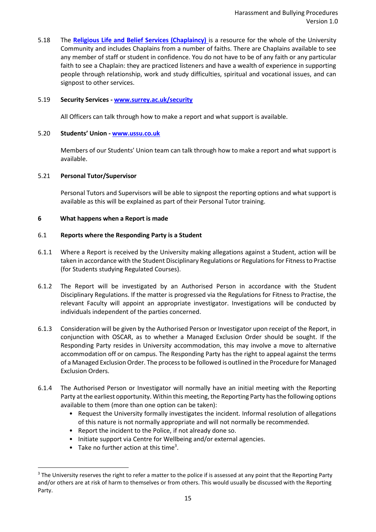5.18 The **[Religious Life and Belief Services \(Chaplaincy\)](https://campus.surrey.ac.uk/faith-and-spirituality)** is a resource for the whole of the University Community and includes Chaplains from a number of faiths. There are Chaplains available to see any member of staff or student in confidence. You do not have to be of any faith or any particular faith to see a Chaplain: they are practiced listeners and have a wealth of experience in supporting people through relationship, work and study difficulties, spiritual and vocational issues, and can signpost to other services.

#### 5.19 **Security Services - [www.surrey.ac.uk/security](http://www.surrey.ac.uk/security)**

All Officers can talk through how to make a report and what support is available.

## 5.20 **Students' Union - [www.ussu.co.uk](http://www.ussu.co.uk/)**

Members of our Students' Union team can talk through how to make a report and what support is available.

# 5.21 **Personal Tutor/Supervisor**

Personal Tutors and Supervisors will be able to signpost the reporting options and what support is available as this will be explained as part of their Personal Tutor training.

# <span id="page-14-0"></span>**6 What happens when a Report is made**

# 6.1 **Reports where the Responding Party is a Student**

- 6.1.1 Where a Report is received by the University making allegations against a Student, action will be taken in accordance with the Student Disciplinary Regulations or Regulations for Fitness to Practise (for Students studying Regulated Courses).
- 6.1.2 The Report will be investigated by an Authorised Person in accordance with the Student Disciplinary Regulations. If the matter is progressed via the Regulations for Fitness to Practise, the relevant Faculty will appoint an appropriate investigator. Investigations will be conducted by individuals independent of the parties concerned.
- 6.1.3 Consideration will be given by the Authorised Person or Investigator upon receipt of the Report, in conjunction with OSCAR, as to whether a Managed Exclusion Order should be sought. If the Responding Party resides in University accommodation, this may involve a move to alternative accommodation off or on campus. The Responding Party has the right to appeal against the terms of a Managed Exclusion Order. The process to be followed is outlined in the Procedure for Managed Exclusion Orders.
- 6.1.4 The Authorised Person or Investigator will normally have an initial meeting with the Reporting Party at the earliest opportunity. Within this meeting, the Reporting Party has the following options available to them (more than one option can be taken):
	- Request the University formally investigates the incident. Informal resolution of allegations of this nature is not normally appropriate and will not normally be recommended.
	- Report the incident to the Police, if not already done so.
	- Initiate support via Centre for Wellbeing and/or external agencies.
	- Take no further action at this time<sup>3</sup>.

<span id="page-14-1"></span><sup>&</sup>lt;sup>3</sup> The University reserves the right to refer a matter to the police if is assessed at any point that the Reporting Party and/or others are at risk of harm to themselves or from others. This would usually be discussed with the Reporting Party.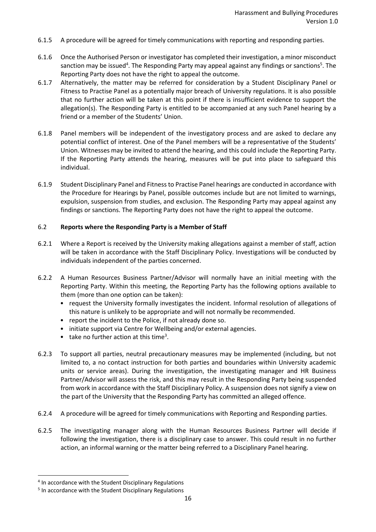- 6.1.5 A procedure will be agreed for timely communications with reporting and responding parties.
- 6.1.6 Once the Authorised Person or investigator has completed their investigation, a minor misconduct sanction may be issued<sup>4</sup>. The Responding Party may appeal against any findings or sanctions<sup>5</sup>. The Reporting Party does not have the right to appeal the outcome.
- 6.1.7 Alternatively, the matter may be referred for consideration by a Student Disciplinary Panel or Fitness to Practise Panel as a potentially major breach of University regulations. It is also possible that no further action will be taken at this point if there is insufficient evidence to support the allegation(s). The Responding Party is entitled to be accompanied at any such Panel hearing by a friend or a member of the Students' Union.
- 6.1.8 Panel members will be independent of the investigatory process and are asked to declare any potential conflict of interest. One of the Panel members will be a representative of the Students' Union. Witnesses may be invited to attend the hearing, and this could include the Reporting Party. If the Reporting Party attends the hearing, measures will be put into place to safeguard this individual.
- 6.1.9 Student Disciplinary Panel and Fitness to Practise Panel hearings are conducted in accordance with the Procedure for Hearings by Panel, possible outcomes include but are not limited to warnings, expulsion, suspension from studies, and exclusion. The Responding Party may appeal against any findings or sanctions. The Reporting Party does not have the right to appeal the outcome.

# 6.2 **Reports where the Responding Party is a Member of Staff**

- 6.2.1 Where a Report is received by the University making allegations against a member of staff, action will be taken in accordance with the Staff Disciplinary Policy. Investigations will be conducted by individuals independent of the parties concerned.
- 6.2.2 A Human Resources Business Partner/Advisor will normally have an initial meeting with the Reporting Party. Within this meeting, the Reporting Party has the following options available to them (more than one option can be taken):
	- request the University formally investigates the incident. Informal resolution of allegations of this nature is unlikely to be appropriate and will not normally be recommended.
	- report the incident to the Police, if not already done so.
	- initiate support via Centre for Wellbeing and/or external agencies.
	- tak[e](#page-14-1) no further action at this time<sup>3</sup>.
- 6.2.3 To support all parties, neutral precautionary measures may be implemented (including, but not limited to, a no contact instruction for both parties and boundaries within University academic units or service areas). During the investigation, the investigating manager and HR Business Partner/Advisor will assess the risk, and this may result in the Responding Party being suspended from work in accordance with the Staff Disciplinary Policy. A suspension does not signify a view on the part of the University that the Responding Party has committed an alleged offence.
- 6.2.4 A procedure will be agreed for timely communications with Reporting and Responding parties.
- 6.2.5 The investigating manager along with the Human Resources Business Partner will decide if following the investigation, there is a disciplinary case to answer. This could result in no further action, an informal warning or the matter being referred to a Disciplinary Panel hearing.

<sup>4</sup> In accordance with the Student Disciplinary Regulations

<sup>5</sup> In accordance with the Student Disciplinary Regulations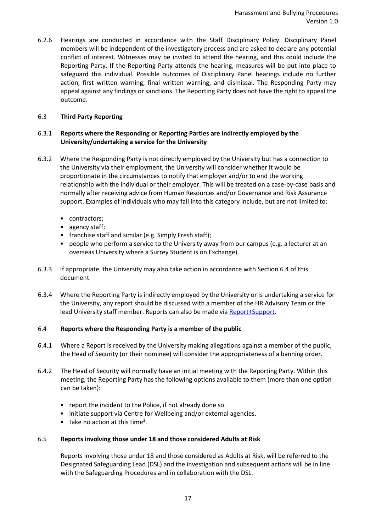6.2.6 Hearings are conducted in accordance with the Staff Disciplinary Policy. Disciplinary Panel members will be independent of the investigatory process and are asked to declare any potential conflict of interest. Witnesses may be invited to attend the hearing, and this could include the Reporting Party. If the Reporting Party attends the hearing, measures will be put into place to safeguard this individual. Possible outcomes of Disciplinary Panel hearings include no further action, first written warning, final written warning, and dismissal. The Responding Party may appeal against any findings or sanctions. The Reporting Party does not have the right to appeal the outcome.

# 6.3 **Third Party Reporting**

# 6.3.1 **Reports where the Responding or Reporting Parties are indirectly employed by the University/undertaking a service for the University**

- 6.3.2 Where the Responding Party is not directly employed by the University but has a connection to the University via their employment, the University will consider whether it would be proportionate in the circumstances to notify that employer and/or to end the working relationship with the individual or their employer. This will be treated on a case-by-case basis and normally after receiving advice from Human Resources and/or Governance and Risk Assurance support. Examples of individuals who may fall into this category include, but are not limited to:
	- contractors;
	- agency staff;
	- franchise staff and similar (e.g. Simply Fresh staff);
	- people who perform a service to the University away from our campus (e.g. a lecturer at an overseas University where a Surrey Student is on Exchange).
- 6.3.3 If appropriate, the University may also take action in accordance with Section 6.4 of this document.
- 6.3.4 Where the Reporting Party is indirectly employed by the University or is undertaking a service for the University, any report should be discussed with a member of the HR Advisory Team or the lead University staff member. Reports can also be made via [Report+Support.](https://reportandsupport.surrey.ac.uk/)

#### 6.4 **Reports where the Responding Party is a member of the public**

- 6.4.1 Where a Report is received by the University making allegations against a member of the public, the Head of Security (or their nominee) will consider the appropriateness of a banning order.
- 6.4.2 The Head of Security will normally have an initial meeting with the Reporting Party. Within this meeting, the Reporting Party has the following options available to them (more than one option can be taken):
	- report the incident to the Police, if not already done so.
	- initiate support via Centre for Wellbeing and/or external agencies.
	- $\bullet$  $\bullet$  $\bullet$  take no action at this time<sup>3</sup>.

# 6.5 **Reports involving those under 18 and those considered Adults at Risk**

Reports involving those under 18 and those considered as Adults at Risk, will be referred to the Designated Safeguarding Lead (DSL) and the investigation and subsequent actions will be in line with the Safeguarding Procedures and in collaboration with the DSL.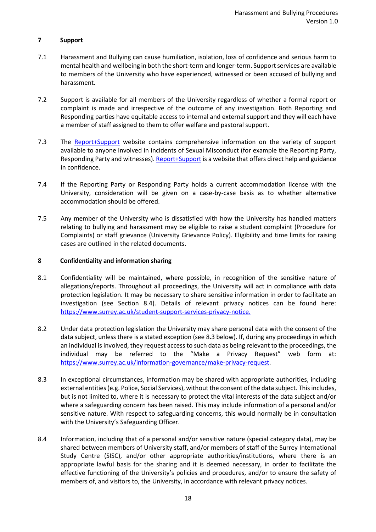# <span id="page-17-0"></span>**7 Support**

- 7.1 Harassment and Bullying can cause humiliation, isolation, loss of confidence and serious harm to mental health and wellbeing in both the short-term and longer-term. Support services are available to members of the University who have experienced, witnessed or been accused of bullying and harassment.
- 7.2 Support is available for all members of the University regardless of whether a formal report or complaint is made and irrespective of the outcome of any investigation. Both Reporting and Responding parties have equitable access to internal and external support and they will each have a member of staff assigned to them to offer welfare and pastoral support.
- 7.3 The [Report+Support](https://reportandsupport.surrey.ac.uk/) website contains comprehensive information on the variety of support available to anyone involved in incidents of Sexual Misconduct (for example the Reporting Party, Responding Party and witnesses)[. Report+Support](https://reportandsupport.surrey.ac.uk/) is a website that offers direct help and guidance in confidence.
- 7.4 If the Reporting Party or Responding Party holds a current accommodation license with the University, consideration will be given on a case-by-case basis as to whether alternative accommodation should be offered.
- 7.5 Any member of the University who is dissatisfied with how the University has handled matters relating to bullying and harassment may be eligible to raise a student complaint (Procedure for Complaints) or staff grievance (University Grievance Policy). Eligibility and time limits for raising cases are outlined in the related documents.

# <span id="page-17-1"></span>**8 Confidentiality and information sharing**

- 8.1 Confidentiality will be maintained, where possible, in recognition of the sensitive nature of allegations/reports. Throughout all proceedings, the University will act in compliance with data protection legislation. It may be necessary to share sensitive information in order to facilitate an investigation (see Section 8.4). Details of relevant privacy notices can be found here: [https://www.surrey.ac.uk/student-support-services-privacy-notice.](https://www.surrey.ac.uk/student-support-services-privacy-notice)
- 8.2 Under data protection legislation the University may share personal data with the consent of the data subject, unless there is a stated exception (see 8.3 below). If, during any proceedings in which an individual is involved, they request access to such data as being relevant to the proceedings, the individual may be referred to the "Make a Privacy Request" web form at: [https://www.surrey.ac.uk/information-governance/make-privacy-request.](https://www.surrey.ac.uk/information-governance/make-privacy-request)
- 8.3 In exceptional circumstances, information may be shared with appropriate authorities, including external entities (e.g. Police, Social Services), without the consent of the data subject. This includes, but is not limited to, where it is necessary to protect the vital interests of the data subject and/or where a safeguarding concern has been raised. This may include information of a personal and/or sensitive nature. With respect to safeguarding concerns, this would normally be in consultation with the University's Safeguarding Officer.
- 8.4 Information, including that of a personal and/or sensitive nature (special category data), may be shared between members of University staff, and/or members of staff of the Surrey International Study Centre (SISC), and/or other appropriate authorities/institutions, where there is an appropriate lawful basis for the sharing and it is deemed necessary, in order to facilitate the effective functioning of the University's policies and procedures, and/or to ensure the safety of members of, and visitors to, the University, in accordance with relevant privacy notices.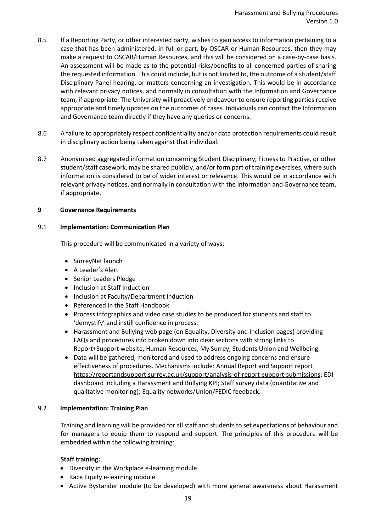- 8.5 If a Reporting Party, or other interested party, wishes to gain access to information pertaining to a case that has been administered, in full or part, by OSCAR or Human Resources, then they may make a request to OSCAR/Human Resources, and this will be considered on a case-by-case basis. An assessment will be made as to the potential risks/benefits to all concerned parties of sharing the requested information. This could include, but is not limited to, the outcome of a student/staff Disciplinary Panel hearing, or matters concerning an investigation. This would be in accordance with relevant privacy notices, and normally in consultation with the Information and Governance team, if appropriate. The University will proactively endeavour to ensure reporting parties receive appropriate and timely updates on the outcomes of cases. Individuals can contact the Information and Governance team directly if they have any queries or concerns.
- 8.6 A failure to appropriately respect confidentiality and/or data protection requirements could result in disciplinary action being taken against that individual.
- 8.7 Anonymised aggregated information concerning Student Disciplinary, Fitness to Practise, or other student/staff casework, may be shared publicly, and/or form part of training exercises, where such information is considered to be of wider interest or relevance. This would be in accordance with relevant privacy notices, and normally in consultation with the Information and Governance team, if appropriate.

#### <span id="page-18-0"></span>**9 Governance Requirements**

# 9.1 **Implementation: Communication Plan**

This procedure will be communicated in a variety of ways:

- SurreyNet launch
- A Leader's Alert
- Senior Leaders Pledge
- Inclusion at Staff Induction
- Inclusion at Faculty/Department Induction
- Referenced in the Staff Handbook
- Process infographics and video case studies to be produced for students and staff to 'demystify' and instill confidence in process.
- Harassment and Bullying web page (on Equality, Diversity and Inclusion pages) providing FAQs and procedures info broken down into clear sections with strong links to Report+Support website, Human Resources, My Surrey, Students Union and Wellbeing
- Data will be gathered, monitored and used to address ongoing concerns and ensure effectiveness of procedures. Mechanisms include: Annual Report and Support report [https://reportandsupport.surrey.ac.uk/support/analysis-of-report-support-submissions;](https://reportandsupport.surrey.ac.uk/support/analysis-of-report-support-submissions) EDI dashboard including a Harassment and Bullying KPI; Staff survey data (quantitative and qualitative monitoring); Equality networks/Union/FEDIC feedback.

# 9.2 **Implementation: Training Plan**

Training and learning will be provided for all staff and students to set expectations of behaviour and for managers to equip them to respond and support. The principles of this procedure will be embedded within the following training:

# **Staff training:**

- Diversity in the Workplace e-learning module
- Race Equity e-learning module
- Active Bystander module (to be developed) with more general awareness about Harassment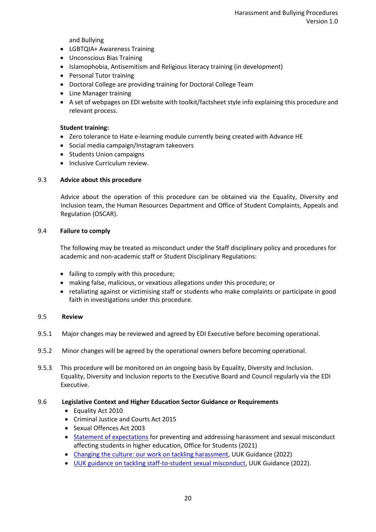and Bullying

- LGBTQIA+ Awareness Training
- Unconscious Bias Training
- Islamophobia, Antisemitism and Religious literacy training (in development)
- Personal Tutor training
- Doctoral College are providing training for Doctoral College Team
- Line Manager training
- A set of webpages on EDI website with toolkit/factsheet style info explaining this procedure and relevant process.

#### **Student training:**

- Zero tolerance to Hate e-learning module currently being created with Advance HE
- Social media campaign/Instagram takeovers
- Students Union campaigns
- Inclusive Curriculum review.

#### 9.3 **Advice about this procedure**

Advice about the operation of this procedure can be obtained via the Equality, Diversity and Inclusion team, the Human Resources Department and Office of Student Complaints, Appeals and Regulation (OSCAR).

#### 9.4 **Failure to comply**

The following may be treated as misconduct under the Staff disciplinary policy and procedures for academic and non-academic staff or Student Disciplinary Regulations:

- failing to comply with this procedure;
- making false, malicious, or vexatious allegations under this procedure; or
- retaliating against or victimising staff or students who make complaints or participate in good faith in investigations under this procedure.

# 9.5 **Review**

- 9.5.1 Major changes may be reviewed and agreed by EDI Executive before becoming operational.
- 9.5.2 Minor changes will be agreed by the operational owners before becoming operational.
- 9.5.3 This procedure will be monitored on an ongoing basis by Equality, Diversity and Inclusion. Equality, Diversity and Inclusion reports to the Executive Board and Council regularly via the EDI Executive.

#### 9.6 **Legislative Context and Higher Education Sector Guidance or Requirements**

- Equality Act 2010
- Criminal Justice and Courts Act 2015
- Sexual Offences Act 2003
- [Statement of expectations](https://www.officeforstudents.org.uk/media/d4ef58c0-db7c-4fc2-9fae-fcb94b38a7f3/ofs-statement-of-expectations-harassment-and-sexual-misconduct.pdf) for preventing and addressing harassment and sexual misconduct affecting students in higher education, Office for Students (2021)
- [Changing the culture: our work on tackling harassment,](https://www.universitiesuk.ac.uk/topics/equality-diversity-and-inclusion/changing-culture-our-work-tackling) UUK Guidance (2022)
- [UUK guidance on tackling staff-to-student sexual misconduct,](https://eur02.safelinks.protection.outlook.com/?url=https%3A%2F%2Fwww.universitiesuk.ac.uk%2Fwhat-we-do%2Fpolicy-and-research%2Fpublications%2Fchanging-culture-tackling-staff-student&data=04%7C01%7Cj.mccarthy-holland%40surrey.ac.uk%7C60a0bfec4e1b42af91dd08da029e5b52%7C6b902693107440aa9e21d89446a2ebb5%7C0%7C0%7C637825176412652659%7CUnknown%7CTWFpbGZsb3d8eyJWIjoiMC4wLjAwMDAiLCJQIjoiV2luMzIiLCJBTiI6Ik1haWwiLCJXVCI6Mn0%3D%7C3000&sdata=N80MgcXAu0XqIaqX2M2U9LmWkTgYUHocgoFV%2BfXuACo%3D&reserved=0) UUK Guidance (2022).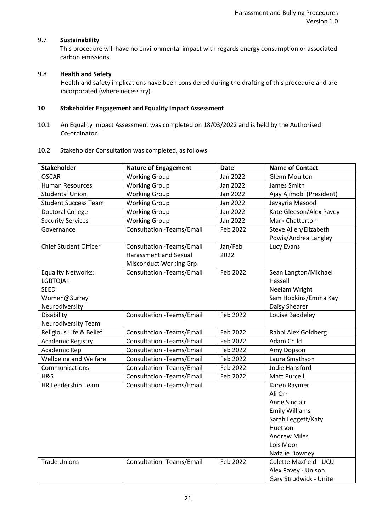# 9.7 **Sustainability**

This procedure will have no environmental impact with regards energy consumption or associated carbon emissions.

# 9.8 **Health and Safety**

Health and safety implications have been considered during the drafting of this procedure and are incorporated (where necessary).

# <span id="page-20-0"></span>**10 Stakeholder Engagement and Equality Impact Assessment**

- 10.1 An Equality Impact Assessment was completed on 18/03/2022 and is held by the Authorised Co-ordinator.
- 10.2 Stakeholder Consultation was completed, as follows:

| <b>Stakeholder</b>           | <b>Nature of Engagement</b>      | <b>Date</b> | <b>Name of Contact</b>   |
|------------------------------|----------------------------------|-------------|--------------------------|
| <b>OSCAR</b>                 | <b>Working Group</b>             | Jan 2022    | <b>Glenn Moulton</b>     |
| <b>Human Resources</b>       | <b>Working Group</b>             | Jan 2022    | James Smith              |
| Students' Union              | <b>Working Group</b>             | Jan 2022    | Ajay Ajimobi (President) |
| <b>Student Success Team</b>  | <b>Working Group</b>             | Jan 2022    | Javayria Masood          |
| <b>Doctoral College</b>      | <b>Working Group</b><br>Jan 2022 |             | Kate Gleeson/Alex Pavey  |
| <b>Security Services</b>     | <b>Working Group</b>             | Jan 2022    | Mark Chatterton          |
| Governance                   | <b>Consultation -Teams/Email</b> | Feb 2022    | Steve Allen/Elizabeth    |
|                              |                                  |             | Powis/Andrea Langley     |
| <b>Chief Student Officer</b> | <b>Consultation -Teams/Email</b> | Jan/Feb     | Lucy Evans               |
|                              | Harassment and Sexual            | 2022        |                          |
|                              | Misconduct Working Grp           |             |                          |
| <b>Equality Networks:</b>    | Consultation - Teams/Email       | Feb 2022    | Sean Langton/Michael     |
| LGBTQIA+                     |                                  |             | Hassell                  |
| <b>SEED</b>                  |                                  |             | Neelam Wright            |
| Women@Surrey                 |                                  |             | Sam Hopkins/Emma Kay     |
| Neurodiversity               |                                  |             | Daisy Shearer            |
| Disability                   | <b>Consultation -Teams/Email</b> | Feb 2022    | Louise Baddeley          |
| Neurodiversity Team          |                                  |             |                          |
| Religious Life & Belief      | <b>Consultation -Teams/Email</b> | Feb 2022    | Rabbi Alex Goldberg      |
| <b>Academic Registry</b>     | Consultation -Teams/Email        | Feb 2022    | Adam Child               |
| Academic Rep                 | <b>Consultation -Teams/Email</b> | Feb 2022    | Amy Dopson               |
| Wellbeing and Welfare        | Consultation - Teams/Email       | Feb 2022    | Laura Smythson           |
| Communications               | Consultation -Teams/Email        | Feb 2022    | Jodie Hansford           |
| H&S                          | Consultation - Teams/Email       | Feb 2022    | <b>Matt Purcell</b>      |
| HR Leadership Team           | Consultation - Teams/Email       |             | Karen Raymer             |
|                              |                                  |             | Ali Orr                  |
|                              |                                  |             | Anne Sinclair            |
|                              |                                  |             | <b>Emily Williams</b>    |
|                              |                                  |             | Sarah Leggett/Katy       |
|                              |                                  |             | Huetson                  |
|                              |                                  |             | <b>Andrew Miles</b>      |
|                              |                                  |             | Lois Moor                |
|                              |                                  |             | Natalie Downey           |
| <b>Trade Unions</b>          | <b>Consultation -Teams/Email</b> | Feb 2022    | Colette Maxfield - UCU   |
|                              |                                  |             | Alex Pavey - Unison      |
|                              |                                  |             | Gary Strudwick - Unite   |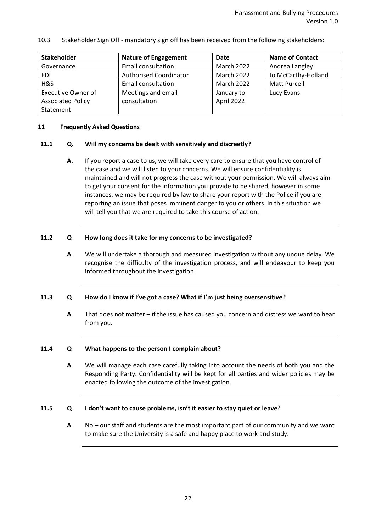10.3 Stakeholder Sign Off - mandatory sign off has been received from the following stakeholders:

| <b>Stakeholder</b>        | <b>Nature of Engagement</b>   | Date              | <b>Name of Contact</b> |
|---------------------------|-------------------------------|-------------------|------------------------|
| Governance                | <b>Email consultation</b>     | <b>March 2022</b> | Andrea Langley         |
| EDI                       | <b>Authorised Coordinator</b> | <b>March 2022</b> | Jo McCarthy-Holland    |
| H&S                       | Email consultation            | <b>March 2022</b> | <b>Matt Purcell</b>    |
| <b>Executive Owner of</b> | Meetings and email            | January to        | Lucy Evans             |
| <b>Associated Policy</b>  | consultation                  | April 2022        |                        |
| Statement                 |                               |                   |                        |

#### <span id="page-21-0"></span>**11 Frequently Asked Questions**

#### **11.1 Q. Will my concerns be dealt with sensitively and discreetly?**

**A.** If you report a case to us, we will take every care to ensure that you have control of the case and we will listen to your concerns. We will ensure confidentiality is maintained and will not progress the case without your permission. We will always aim to get your consent for the information you provide to be shared, however in some instances, we may be required by law to share your report with the Police if you are reporting an issue that poses imminent danger to you or others. In this situation we will tell you that we are required to take this course of action.

#### **11.2 Q How long does it take for my concerns to be investigated?**

**A** We will undertake a thorough and measured investigation without any undue delay. We recognise the difficulty of the investigation process, and will endeavour to keep you informed throughout the investigation.

#### **11.3 Q How do I know if I've got a case? What if I'm just being oversensitive?**

**A** That does not matter – if the issue has caused you concern and distress we want to hear from you.

#### **11.4 Q What happens to the person I complain about?**

**A** We will manage each case carefully taking into account the needs of both you and the Responding Party. Confidentiality will be kept for all parties and wider policies may be enacted following the outcome of the investigation.

#### **11.5 Q I don't want to cause problems, isn't it easier to stay quiet or leave?**

**A** No – our staff and students are the most important part of our community and we want to make sure the University is a safe and happy place to work and study.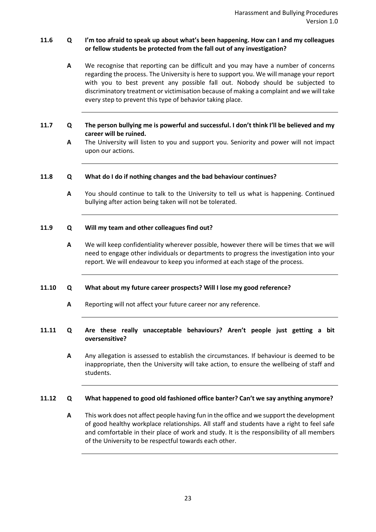# **11.6 Q I'm too afraid to speak up about what's been happening. How can I and my colleagues or fellow students be protected from the fall out of any investigation?**

- **A** We recognise that reporting can be difficult and you may have a number of concerns regarding the process. The University is here to support you. We will manage your report with you to best prevent any possible fall out. Nobody should be subjected to discriminatory treatment or victimisation because of making a complaint and we will take every step to prevent this type of behavior taking place.
- **11.7 Q The person bullying me is powerful and successful. I don't think I'll be believed and my career will be ruined.**
	- **A** The University will listen to you and support you. Seniority and power will not impact upon our actions.

#### **11.8 Q What do I do if nothing changes and the bad behaviour continues?**

**A** You should continue to talk to the University to tell us what is happening. Continued bullying after action being taken will not be tolerated.

#### **11.9 Q Will my team and other colleagues find out?**

**A** We will keep confidentiality wherever possible, however there will be times that we will need to engage other individuals or departments to progress the investigation into your report. We will endeavour to keep you informed at each stage of the process.

#### **11.10 Q What about my future career prospects? Will I lose my good reference?**

**A** Reporting will not affect your future career nor any reference.

# **11.11 Q Are these really unacceptable behaviours? Aren't people just getting a bit oversensitive?**

**A** Any allegation is assessed to establish the circumstances. If behaviour is deemed to be inappropriate, then the University will take action, to ensure the wellbeing of staff and students.

#### **11.12 Q What happened to good old fashioned office banter? Can't we say anything anymore?**

**A** This work does not affect people having fun in the office and we support the development of good healthy workplace relationships. All staff and students have a right to feel safe and comfortable in their place of work and study. It is the responsibility of all members of the University to be respectful towards each other.